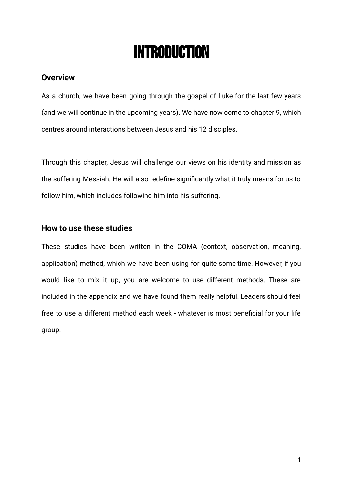# Introduction

#### **Overview**

As a church, we have been going through the gospel of Luke for the last few years (and we will continue in the upcoming years). We have now come to chapter 9, which centres around interactions between Jesus and his 12 disciples.

Through this chapter, Jesus will challenge our views on his identity and mission as the suffering Messiah. He will also redefine significantly what it truly means for us to follow him, which includes following him into his suffering.

#### **How to use these studies**

These studies have been written in the COMA (context, observation, meaning, application) method, which we have been using for quite some time. However, if you would like to mix it up, you are welcome to use different methods. These are included in the appendix and we have found them really helpful. Leaders should feel free to use a different method each week - whatever is most beneficial for your life group.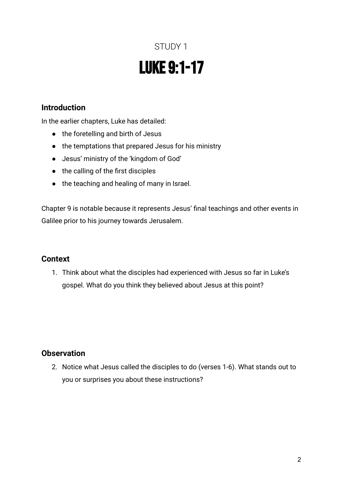# STUDY 1 Luke 9:1-17

### **Introduction**

In the earlier chapters, Luke has detailed:

- the foretelling and birth of Jesus
- the temptations that prepared Jesus for his ministry
- Jesus' ministry of the 'kingdom of God'
- the calling of the first disciples
- the teaching and healing of many in Israel.

Chapter 9 is notable because it represents Jesus' final teachings and other events in Galilee prior to his journey towards Jerusalem.

### **Context**

1. Think about what the disciples had experienced with Jesus so far in Luke's gospel. What do you think they believed about Jesus at this point?

### **Observation**

2. Notice what Jesus called the disciples to do (verses 1-6). What stands out to you or surprises you about these instructions?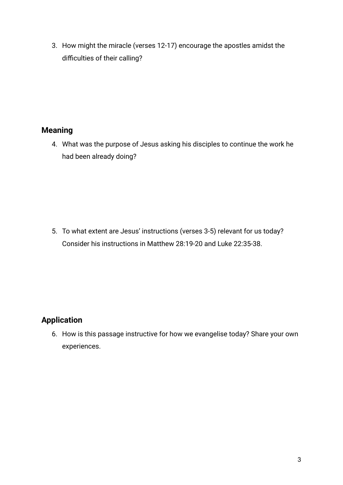3. How might the miracle (verses 12-17) encourage the apostles amidst the difficulties of their calling?

### **Meaning**

4. What was the purpose of Jesus asking his disciples to continue the work he had been already doing?

5. To what extent are Jesus' instructions (verses 3-5) relevant for us today? Consider his instructions in Matthew 28:19-20 and Luke 22:35-38.

### **Application**

6. How is this passage instructive for how we evangelise today? Share your own experiences.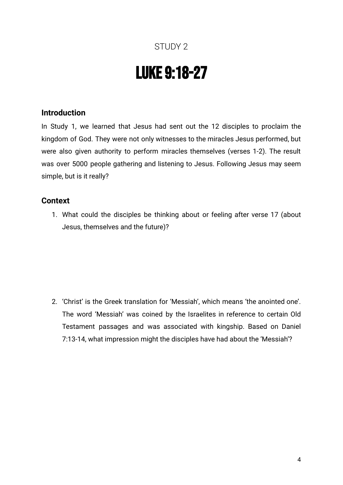# Luke 9:18-27

### **Introduction**

In Study 1, we learned that Jesus had sent out the 12 disciples to proclaim the kingdom of God. They were not only witnesses to the miracles Jesus performed, but were also given authority to perform miracles themselves (verses 1-2). The result was over 5000 people gathering and listening to Jesus. Following Jesus may seem simple, but is it really?

### **Context**

1. What could the disciples be thinking about or feeling after verse 17 (about Jesus, themselves and the future)?

2. 'Christ' is the Greek translation for 'Messiah', which means 'the anointed one'. The word 'Messiah' was coined by the Israelites in reference to certain Old Testament passages and was associated with kingship. Based on Daniel 7:13-14, what impression might the disciples have had about the 'Messiah'?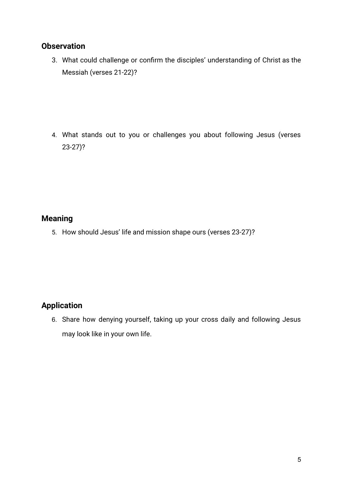### **Observation**

3. What could challenge or confirm the disciples' understanding of Christ as the Messiah (verses 21-22)?

4. What stands out to you or challenges you about following Jesus (verses 23-27)?

### **Meaning**

5. How should Jesus' life and mission shape ours (verses 23-27)?

### **Application**

6. Share how denying yourself, taking up your cross daily and following Jesus may look like in your own life.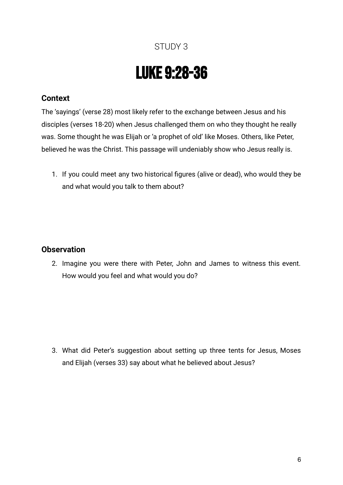# Luke 9:28-36

### **Context**

The 'sayings' (verse 28) most likely refer to the exchange between Jesus and his disciples (verses 18-20) when Jesus challenged them on who they thought he really was. Some thought he was Elijah or 'a prophet of old' like Moses. Others, like Peter, believed he was the Christ. This passage will undeniably show who Jesus really is.

1. If you could meet any two historical figures (alive or dead), who would they be and what would you talk to them about?

### **Observation**

2. Imagine you were there with Peter, John and James to witness this event. How would you feel and what would you do?

3. What did Peter's suggestion about setting up three tents for Jesus, Moses and Elijah (verses 33) say about what he believed about Jesus?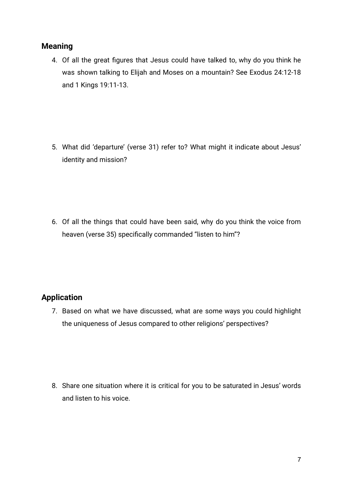### **Meaning**

4. Of all the great figures that Jesus could have talked to, why do you think he was shown talking to Elijah and Moses on a mountain? See Exodus 24:12-18 and 1 Kings 19:11-13.

5. What did 'departure' (verse 31) refer to? What might it indicate about Jesus' identity and mission?

6. Of all the things that could have been said, why do you think the voice from heaven (verse 35) specifically commanded "listen to him"?

### **Application**

7. Based on what we have discussed, what are some ways you could highlight the uniqueness of Jesus compared to other religions' perspectives?

8. Share one situation where it is critical for you to be saturated in Jesus' words and listen to his voice.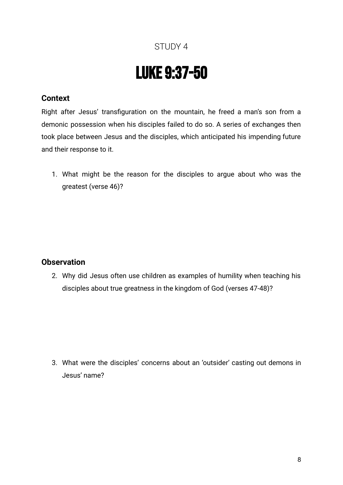# Luke 9:37-50

### **Context**

Right after Jesus' transfiguration on the mountain, he freed a man's son from a demonic possession when his disciples failed to do so. A series of exchanges then took place between Jesus and the disciples, which anticipated his impending future and their response to it.

1. What might be the reason for the disciples to argue about who was the greatest (verse 46)?

### **Observation**

2. Why did Jesus often use children as examples of humility when teaching his disciples about true greatness in the kingdom of God (verses 47-48)?

3. What were the disciples' concerns about an 'outsider' casting out demons in Jesus' name?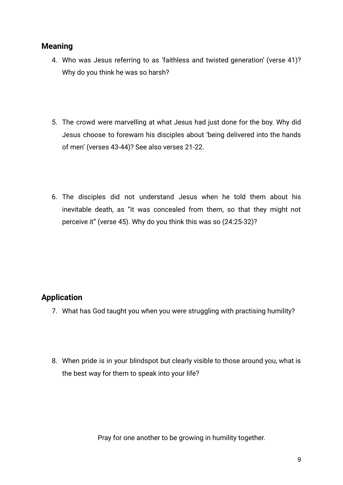### **Meaning**

- 4. Who was Jesus referring to as 'faithless and twisted generation' (verse 41)? Why do you think he was so harsh?
- 5. The crowd were marvelling at what Jesus had just done for the boy. Why did Jesus choose to forewarn his disciples about 'being delivered into the hands of men' (verses 43-44)? See also verses 21-22.
- 6. The disciples did not understand Jesus when he told them about his inevitable death, as "it was concealed from them, so that they might not perceive it" (verse 45). Why do you think this was so (24:25-32)?

### **Application**

- 7. What has God taught you when you were struggling with practising humility?
- 8. When pride is in your blindspot but clearly visible to those around you, what is the best way for them to speak into your life?

Pray for one another to be growing in humility together.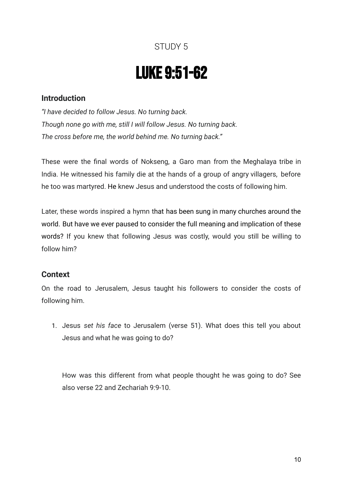# Luke 9:51-62

### **Introduction**

*"I have decided to follow Jesus. No turning back. Though none go with me, still I will follow Jesus. No turning back. The cross before me, the world behind me. No turning back."*

These were the final words of Nokseng, a Garo man from the Meghalaya tribe in India. He witnessed his family die at the hands of a group of angry villagers, before he too was martyred. He knew Jesus and understood the costs of following him.

Later, these words inspired a hymn that has been sung in many churches around the world. But have we ever paused to consider the full meaning and implication of these words? If you knew that following Jesus was costly, would you still be willing to follow him?

### **Context**

On the road to Jerusalem, Jesus taught his followers to consider the costs of following him.

1. Jesus *set his face* to Jerusalem (verse 51). What does this tell you about Jesus and what he was going to do?

How was this different from what people thought he was going to do? See also verse 22 and Zechariah 9:9-10.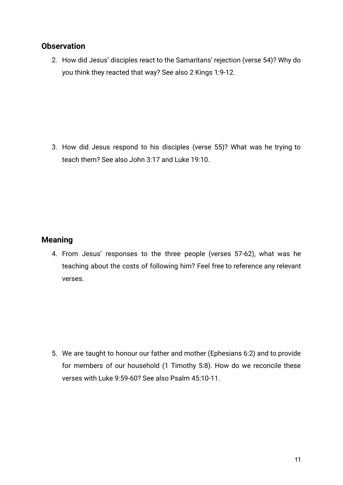### **Observation**

2. How did Jesus' disciples react to the Samaritans' rejection (verse 54)? Why do you think they reacted that way? See also 2 Kings 1:9-12.

3. How did Jesus respond to his disciples (verse 55)? What was he trying to teach them? See also John 3:17 and Luke 19:10.

### **Meaning**

4. From Jesus' responses to the three people (verses 57-62), what was he teaching about the costs of following him? Feel free to reference any relevant verses.

5. We are taught to honour our father and mother (Ephesians 6:2) and to provide for members of our household (1 Timothy 5:8). How do we reconcile these verses with Luke 9:59-60? See also Psalm 45:10-11.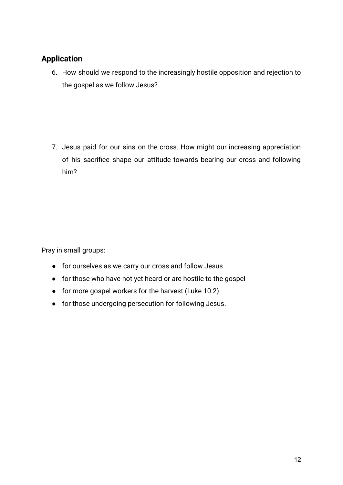### **Application**

6. How should we respond to the increasingly hostile opposition and rejection to the gospel as we follow Jesus?

7. Jesus paid for our sins on the cross. How might our increasing appreciation of his sacrifice shape our attitude towards bearing our cross and following him?

Pray in small groups:

- for ourselves as we carry our cross and follow Jesus
- for those who have not yet heard or are hostile to the gospel
- for more gospel workers for the harvest (Luke 10:2)
- for those undergoing persecution for following Jesus.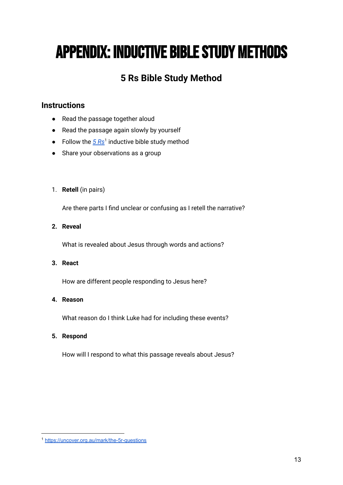# **APPENDIX: INDUCTIVE BIBLE STUDY METHODS**

## **5 Rs Bible Study Method**

### **Instructions**

- Read the passage together aloud
- Read the passage again slowly by yourself
- Follow the  $5Rs<sup>1</sup>$  $5Rs<sup>1</sup>$  $5Rs<sup>1</sup>$  inductive bible study method
- Share your observations as a group

#### 1. **Retell** (in pairs)

Are there parts I find unclear or confusing as I retell the narrative?

#### **2. Reveal**

What is revealed about Jesus through words and actions?

#### **3. React**

How are different people responding to Jesus here?

#### **4. Reason**

What reason do I think Luke had for including these events?

#### **5. Respond**

How will I respond to what this passage reveals about Jesus?

<sup>1</sup> <https://uncover.org.au/mark/the-5r-questions>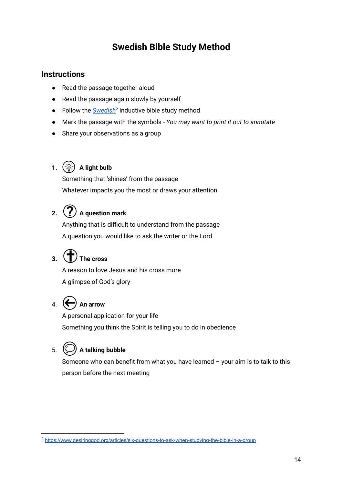### **Swedish Bible Study Method**

### **Instructions**

- Read the passage together aloud
- Read the passage again slowly by yourself
- Follow the *[Swedish](https://www.desiringgod.org/articles/six-questions-to-ask-when-studying-the-bible-in-a-group)*<sup>2</sup> inductive bible study method
- Mark the passage with the symbols *You may want to print it out to annotate*
- Share your observations as a group

### **1.**  $(\hat{\mathcal{A}})$  **A** light bulb

Something that 'shines' from the passage Whatever impacts you the most or draws your attention

## **2.**  $(?)$  A question mark

Anything that is difficult to understand from the passage A question you would like to ask the writer or the Lord

## $3.$   $($   $\uparrow$   $)$  The cross

A reason to love Jesus and his cross more A glimpse of God's glory

## 4.  $\left(\leftarrow\right)$  An arrow

A personal application for your life Something you think the Spirit is telling you to do in obedience

## 5. **A talking bubble**

Someone who can benefit from what you have learned – your aim is to talk to this person before the next meeting

<sup>2</sup> <https://www.desiringgod.org/articles/six-questions-to-ask-when-studying-the-bible-in-a-group>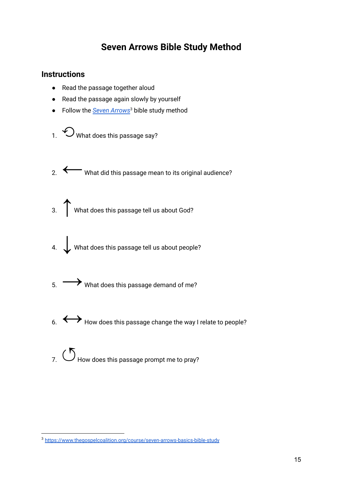### **Seven Arrows Bible Study Method**

### **Instructions**

- Read the passage together aloud
- Read the passage again slowly by yourself
- Follow the *Seven [Arrows](https://www.thegospelcoalition.org/course/seven-arrows-basics-bible-study)* <sup>3</sup> bible study method
- 1.  $\bigcirc$  What does this passage say?
- 2. ← What did this passage mean to its original audience?
- 3. ★ What does this passage tell us about God?
- 4. Vhat does this passage tell us about people?
- $\sim$  5.  $\rightarrow$  What does this passage demand of me?
- $\begin{array}{c} \text{6.} \\ \text{6.} \end{array}$  How does this passage change the way I relate to people?
- $7.$   $\circ$  How does this passage prompt me to pray?

<sup>3</sup> <https://www.thegospelcoalition.org/course/seven-arrows-basics-bible-study>